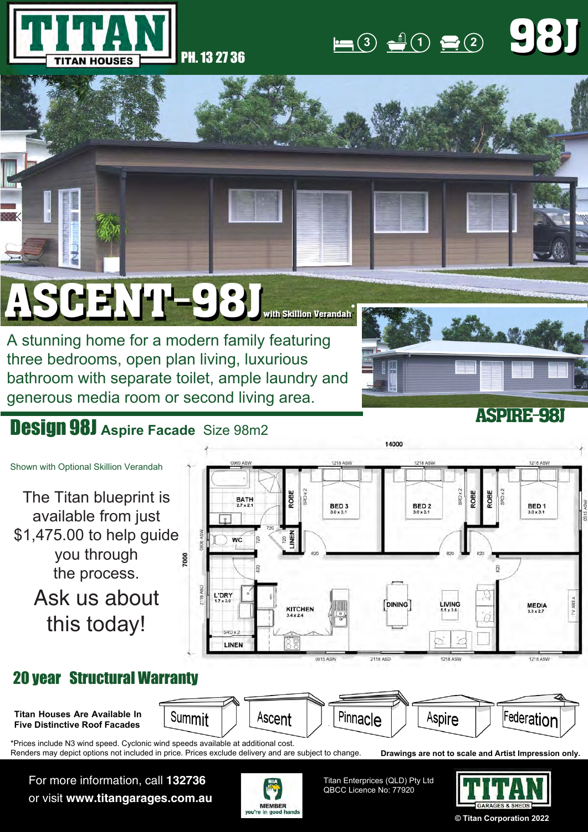

## **3 1 2** 98J 98J

## $SGENI-98J_{\text{with skillion Verandah}}^*$

A stunning home for a modern family featuring three bedrooms, open plan living, luxurious bathroom with separate toilet, ample laundry and generous media room or second living area.



## Design 98J **Aspire Facade** Size 98m2



Renders may depict options not included in price. Prices exclude delivery and are subject to change.

For more information, call **132736** or visit **www.titangarages.com.au**



Titan Enterprices (QLD) Pty Ltd QBCC Licence No: 77920



**Drawings are not to scale and Artist Impression only.**

**© Titan Corporation 2022**